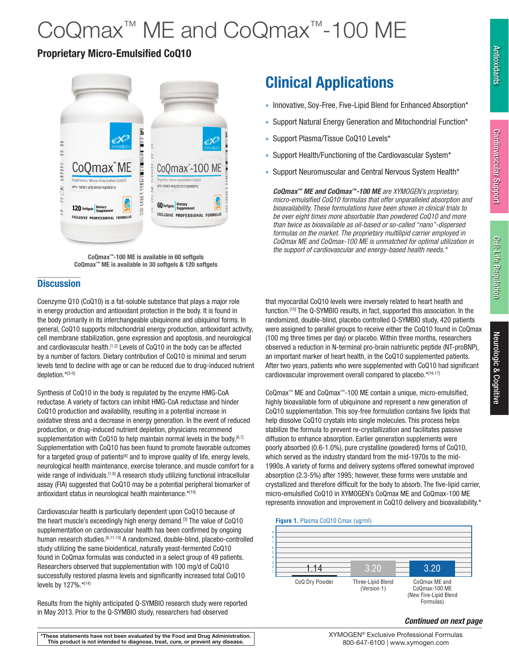# CoQmax<sup>™</sup> ME and CoQmax<sup>™</sup>-100 ME

## Proprietary Micro-Emulsified CoQ10



CoQmax™-100 ME is available in 60 softgels CoQmax™ ME is available in 30 softgels & 120 softgels

## **Discussion**

Coenzyme Q10 (CoQ10) is a fat-soluble substance that plays a major role in energy production and antioxidant protection in the body. It is found in the body primarily in its interchangeable ubiquinone and ubiquinol forms. In general, CoQ10 supports mitochondrial energy production, antioxidant activity, cell membrane stabilization, gene expression and apoptosis, and neurological and cardiovascular health.<sup>[1,2]</sup> Levels of CoQ10 in the body can be affected by a number of factors. Dietary contribution of CoQ10 is minimal and serum levels tend to decline with age or can be reduced due to drug-induced nutrient depletion.\*[3-5]

Synthesis of CoQ10 in the body is regulated by the enzyme HMG-CoA reductase. A variety of factors can inhibit HMG-CoA reductase and hinder CoQ10 production and availability, resulting in a potential increase in oxidative stress and a decrease in energy generation. In the event of reduced production, or drug-induced nutrient depletion, physicians recommend supplementation with CoQ10 to help maintain normal levels in the body.<sup>[6,7]</sup> Supplementation with CoQ10 has been found to promote favorable outcomes for a targeted group of patients<sup>[8]</sup> and to improve quality of life, energy levels, neurological health maintenance, exercise tolerance, and muscle comfort for a wide range of individuals.<sup>[1,9]</sup> A research study utilizing functional intracellular assay (FIA) suggested that CoQ10 may be a potential peripheral biomarker of antioxidant status in neurological health maintenance.\*[10]

Cardiovascular health is particularly dependent upon CoQ10 because of the heart muscle's exceedingly high energy demand.<sup>[3]</sup> The value of CoQ10 supplementation on cardiovascular health has been confirmed by ongoing human research studies.<sup>[6,11-13]</sup> A randomized, double-blind, placebo-controlled study utilizing the same bioidentical, naturally yeast-fermented CoQ10 found in CoQmax formulas was conducted in a select group of 49 patients. Researchers observed that supplementation with 100 mg/d of CoQ10 successfully restored plasma levels and significantly increased total CoQ10 levels by 127%.\*[14]

Results from the highly anticipated Q-SYMBIO research study were reported in May 2013. Prior to the Q-SYMBIO study, researchers had observed

- » Innovative, Soy-Free, Five-Lipid Blend for Enhanced Absorption\*
- » Support Natural Energy Generation and Mitochondrial Function\*
- » Support Plasma/Tissue CoQ10 Levels\*
- » Support Health/Functioning of the Cardiovascular System\*
- » Support Neuromuscular and Central Nervous System Health\*

*CoQmax™ ME and CoQmax™-100 ME are XYMOGEN's proprietary, micro-emulsified CoQ10 formulas that offer unparalleled absorption and bioavailability. These formulations have been shown in clinical trials to be over eight times more absorbable than powdered CoQ10 and more than twice as bioavailable as oil-based or so-called "nano"-dispersed formulas on the market. The proprietary multilipid carrier employed in CoQmax ME and CoQmax-100 ME is unmatched for optimal utilization in the support of cardiovascular and energy-based health needs.\**

that myocardial CoQ10 levels were inversely related to heart health and function.[15] The Q-SYMBIO results, in fact, supported this association. In the randomized, double-blind, placebo controlled Q-SYMBIO study, 420 patients were assigned to parallel groups to receive either the CoQ10 found in CoQmax (100 mg three times per day) or placebo. Within three months, researchers observed a reduction in N-terminal pro-brain natriuretic peptide (NT-proBNP), an important marker of heart health, in the CoQ10 supplemented patients. After two years, patients who were supplemented with CoQ10 had significant cardiovascular improvement overall compared to placebo.\*[16,17]

CoQmax™ ME and CoQmax™-100 ME contain a unique, micro-emulsified, highly bioavailable form of ubiquinone and represent a new generation of CoQ10 supplementation. This soy-free formulation contains five lipids that help dissolve CoQ10 crystals into single molecules. This process helps stabilize the formula to prevent re-crystallization and facilitates passive diffusion to enhance absorption. Earlier generation supplements were poorly absorbed (0.6-1.0%), pure crystalline (powdered) forms of CoQ10, which served as the industry standard from the mid-1970s to the mid-1990s. A variety of forms and delivery systems offered somewhat improved absorption (2.3-5%) after 1995; however, these forms were unstable and crystallized and therefore difficult for the body to absorb. The five-lipid carrier, micro-emulsified CoQ10 in XYMOGEN's CoQmax ME and CoQmax-100 ME represents innovation and improvement in CoQ10 delivery and bioavailability.\*





### *Continued on next page*